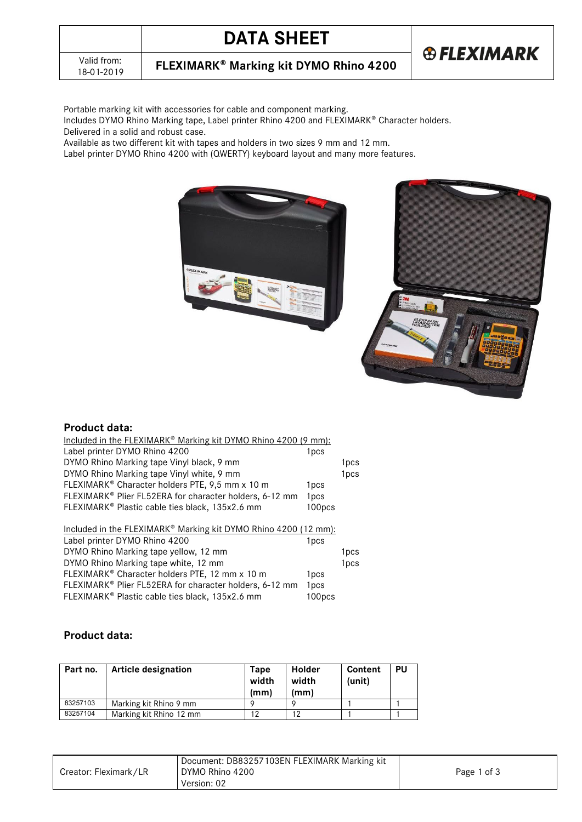# **DATA SHEET**



**FLEXIMARK<sup>®</sup> Marking kit DYMO Rhino 4200** 

Portable marking kit with accessories for cable and component marking.

Includes DYMO Rhino Marking tape, Label printer Rhino 4200 and FLEXIMARK® Character holders. Delivered in a solid and robust case.

Available as two different kit with tapes and holders in two sizes 9 mm and 12 mm.

Label printer DYMO Rhino 4200 with (QWERTY) keyboard layout and many more features.





# **Product data:**

| Included in the FLEXIMARK <sup>®</sup> Marking kit DYMO Rhino 4200 (9 mm): |        |      |
|----------------------------------------------------------------------------|--------|------|
| Label printer DYMO Rhino 4200                                              | 1pcs   |      |
| DYMO Rhino Marking tape Vinyl black, 9 mm                                  |        | 1pcs |
| DYMO Rhino Marking tape Vinyl white, 9 mm                                  |        | 1pcs |
| FLEXIMARK <sup>®</sup> Character holders PTE, 9,5 mm x 10 m                | 1pcs   |      |
| FLEXIMARK® Plier FL52ERA for character holders, 6-12 mm                    | 1pcs   |      |
| FLEXIMARK <sup>®</sup> Plastic cable ties black, 135x2.6 mm                | 100pcs |      |
|                                                                            |        |      |
| Included in the FLEXIMARK® Marking kit DYMO Rhino 4200 (12 mm):            |        |      |
| Label printer DYMO Rhino 4200                                              | 1pcs   |      |
| DYMO Rhino Marking tape yellow, 12 mm                                      |        | 1pcs |
| DYMO Rhino Marking tape white, 12 mm                                       |        | 1pcs |
| FLEXIMARK <sup>®</sup> Character holders PTE, 12 mm x 10 m                 | 1pcs   |      |
| FLEXIMARK® Plier FL52ERA for character holders, 6-12 mm                    | 1pcs   |      |

FLEXIMARK<sup>®</sup> Plastic cable ties black, 135x2.6 mm 100pcs

#### **Product data:**

| Part no. | Article designation     | Tape<br>width<br>(mm) | <b>Holder</b><br>width<br>(mm) | Content<br>(unit) | PU |
|----------|-------------------------|-----------------------|--------------------------------|-------------------|----|
| 83257103 | Marking kit Rhino 9 mm  |                       |                                |                   |    |
| 83257104 | Marking kit Rhino 12 mm |                       | 12                             |                   |    |

|                       | Document: DB83257103EN FLEXIMARK Marking kit |             |  |
|-----------------------|----------------------------------------------|-------------|--|
| Creator: Fleximark/LR | DYMO Rhino 4200                              | Page 1 of 3 |  |
|                       | Version: 02                                  |             |  |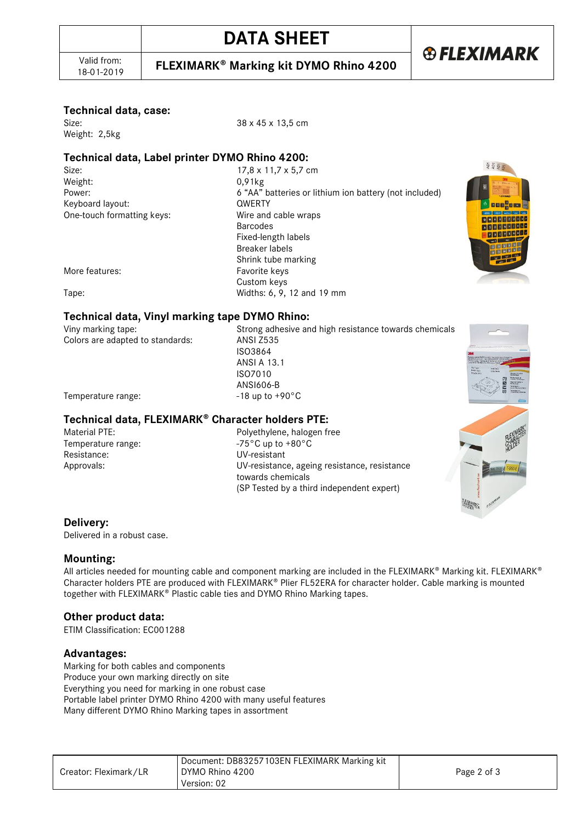**FLEXIMARK<sup>®</sup> Marking kit DYMO Rhino 4200** 

**®FLEXIMARK** 

#### **Technical data, case:**

Weight: 2,5kg

Size: 38 x 45 x 13,5 cm

# **Technical data, Label printer DYMO Rhino 4200:**

Weight: 0,91kg<br>Power: 6 "AA" 6 "AA" Keyboard layout: QWERTY

Size: 17,8 x 11,7 x 5,7 cm<br>Weight: 17,8 x 11,7 x 5,7 cm 6 "AA" batteries or lithium ion battery (not included) One-touch formatting keys: Wire and cable wraps Barcodes Fixed-length labels Breaker labels Shrink tube marking More features: Favorite keys Custom keys Tape: Widths: 6, 9, 12 and 19 mm



# **Technical data, Vinyl marking tape DYMO Rhino:**

Colors are adapted to standards:

Viny marking tape: Strong adhesive and high resistance towards chemicals<br>Colors are adapted to standards: ANSI Z535 ISO3864 ANSI A 13.1 ISO7010 ANSI606-B



Temperature range:  $-18 \text{ up to } +90^{\circ} \text{C}$ 

#### Technical data, FLEXIMARK<sup>®</sup> Character holders PTE:

Temperature range: Resistance: UV-resistant

Material PTE:<br>
Temperature range:<br>
Temperature range:<br>  $-75^{\circ}$ C up to +80°C Approvals: UV-resistance, ageing resistance, resistance towards chemicals (SP Tested by a third independent expert)

#### **Delivery:**

Delivered in a robust case.

#### **Mounting:**

All articles needed for mounting cable and component marking are included in the FLEXIMARK® Marking kit. FLEXIMARK® Character holders PTE are produced with FLEXIMARK® Plier FL52ERA for character holder. Cable marking is mounted together with FLEXIMARK<sup>®</sup> Plastic cable ties and DYMO Rhino Marking tapes.

#### **Other product data:**

ETIM Classification: EC001288

#### **Advantages:**

Marking for both cables and components Produce your own marking directly on site Everything you need for marking in one robust case Portable label printer DYMO Rhino 4200 with many useful features Many different DYMO Rhino Marking tapes in assortment

| Creator: Fleximark/LR | Document: DB83257103EN FLEXIMARK Marking kit<br>DYMO Rhino 4200 | Page 2 of 3 |
|-----------------------|-----------------------------------------------------------------|-------------|
|                       | Version: 02                                                     |             |